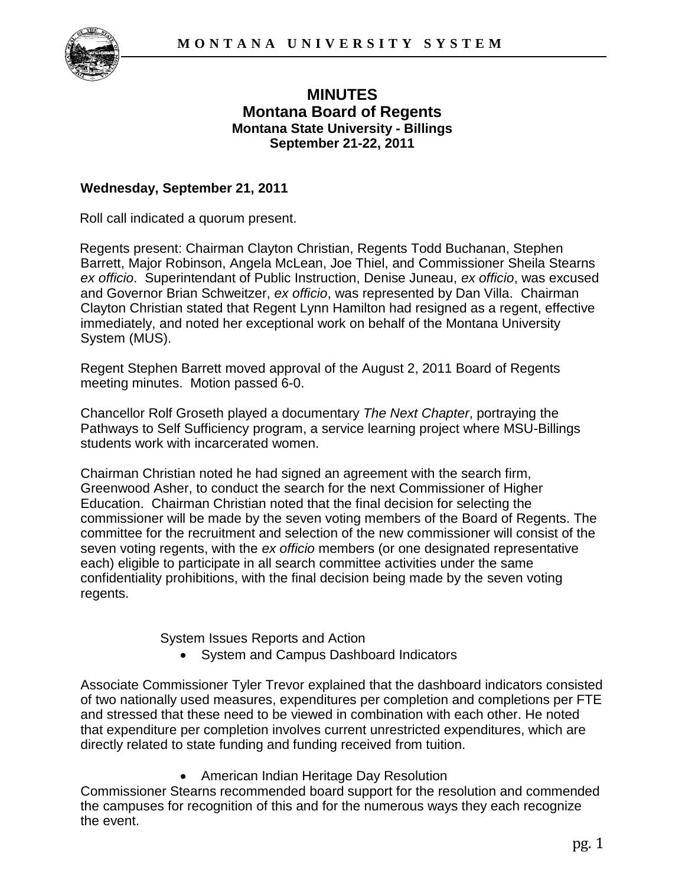

# **MINUTES Montana Board of Regents Montana State University - Billings September 21-22, 2011**

### **Wednesday, September 21, 2011**

Roll call indicated a quorum present.

Regents present: Chairman Clayton Christian, Regents Todd Buchanan, Stephen Barrett, Major Robinson, Angela McLean, Joe Thiel, and Commissioner Sheila Stearns *ex officio*. Superintendant of Public Instruction, Denise Juneau, *ex officio*, was excused and Governor Brian Schweitzer, *ex officio*, was represented by Dan Villa. Chairman Clayton Christian stated that Regent Lynn Hamilton had resigned as a regent, effective immediately, and noted her exceptional work on behalf of the Montana University System (MUS).

Regent Stephen Barrett moved approval of the August 2, 2011 Board of Regents meeting minutes. Motion passed 6-0.

Chancellor Rolf Groseth played a documentary *The Next Chapter*, portraying the Pathways to Self Sufficiency program, a service learning project where MSU-Billings students work with incarcerated women.

Chairman Christian noted he had signed an agreement with the search firm, Greenwood Asher, to conduct the search for the next Commissioner of Higher Education. Chairman Christian noted that the final decision for selecting the commissioner will be made by the seven voting members of the Board of Regents. The committee for the recruitment and selection of the new commissioner will consist of the seven voting regents, with the *ex officio* members (or one designated representative each) eligible to participate in all search committee activities under the same confidentiality prohibitions, with the final decision being made by the seven voting regents.

System Issues Reports and Action

• System and Campus Dashboard Indicators

Associate Commissioner Tyler Trevor explained that the dashboard indicators consisted of two nationally used measures, expenditures per completion and completions per FTE and stressed that these need to be viewed in combination with each other. He noted that expenditure per completion involves current unrestricted expenditures, which are directly related to state funding and funding received from tuition.

American Indian Heritage Day Resolution

Commissioner Stearns recommended board support for the resolution and commended the campuses for recognition of this and for the numerous ways they each recognize the event.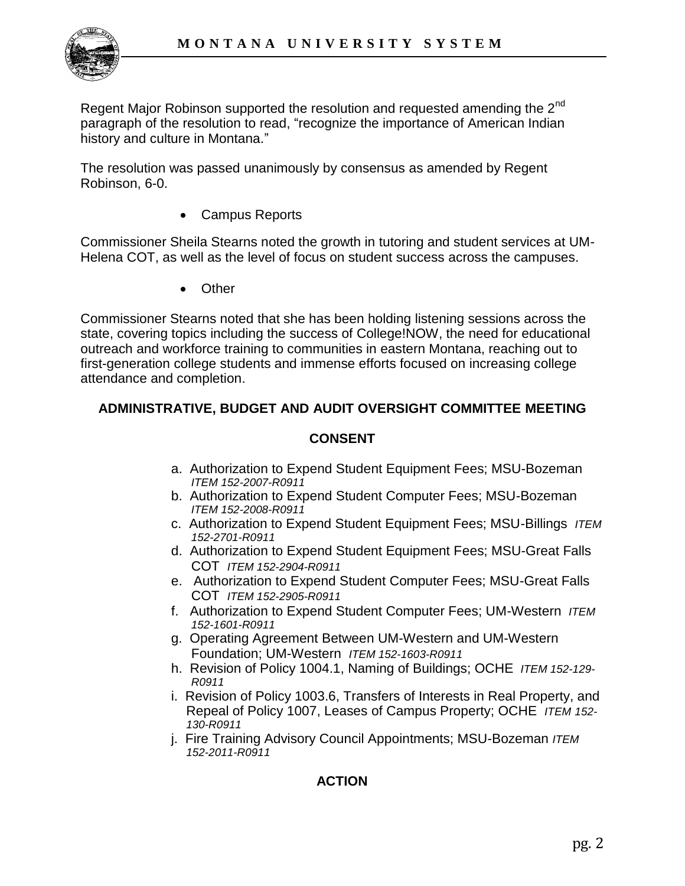

Regent Major Robinson supported the resolution and requested amending the 2<sup>nd</sup> paragraph of the resolution to read, "recognize the importance of American Indian history and culture in Montana."

The resolution was passed unanimously by consensus as amended by Regent Robinson, 6-0.

Campus Reports

Commissioner Sheila Stearns noted the growth in tutoring and student services at UM-Helena COT, as well as the level of focus on student success across the campuses.

**Other** 

Commissioner Stearns noted that she has been holding listening sessions across the state, covering topics including the success of College!NOW, the need for educational outreach and workforce training to communities in eastern Montana, reaching out to first-generation college students and immense efforts focused on increasing college attendance and completion.

## **ADMINISTRATIVE, BUDGET AND AUDIT OVERSIGHT COMMITTEE MEETING**

### **CONSENT**

- a. Authorization to Expend Student Equipment Fees; MSU-Bozeman *ITEM 152-2007-R0911*
- b. Authorization to Expend Student Computer Fees; MSU-Bozeman *ITEM 152-2008-R0911*
- c. Authorization to Expend Student Equipment Fees; MSU-Billings *ITEM 152-2701-R0911*
- d. Authorization to Expend Student Equipment Fees; MSU-Great Falls COT *ITEM 152-2904-R0911*
- e. Authorization to Expend Student Computer Fees; MSU-Great Falls COT *ITEM 152-2905-R0911*
- f. Authorization to Expend Student Computer Fees; UM-Western *ITEM 152-1601-R0911*
- g. Operating Agreement Between UM-Western and UM-Western Foundation; UM-Western *ITEM 152-1603-R0911*
- h. Revision of Policy 1004.1, Naming of Buildings; OCHE *ITEM 152-129- R0911*
- i. Revision of Policy 1003.6, Transfers of Interests in Real Property, and Repeal of Policy 1007, Leases of Campus Property; OCHE *ITEM 152- 130-R0911*
- j. Fire Training Advisory Council Appointments; MSU-Bozeman *ITEM 152-2011-R0911*

## **ACTION**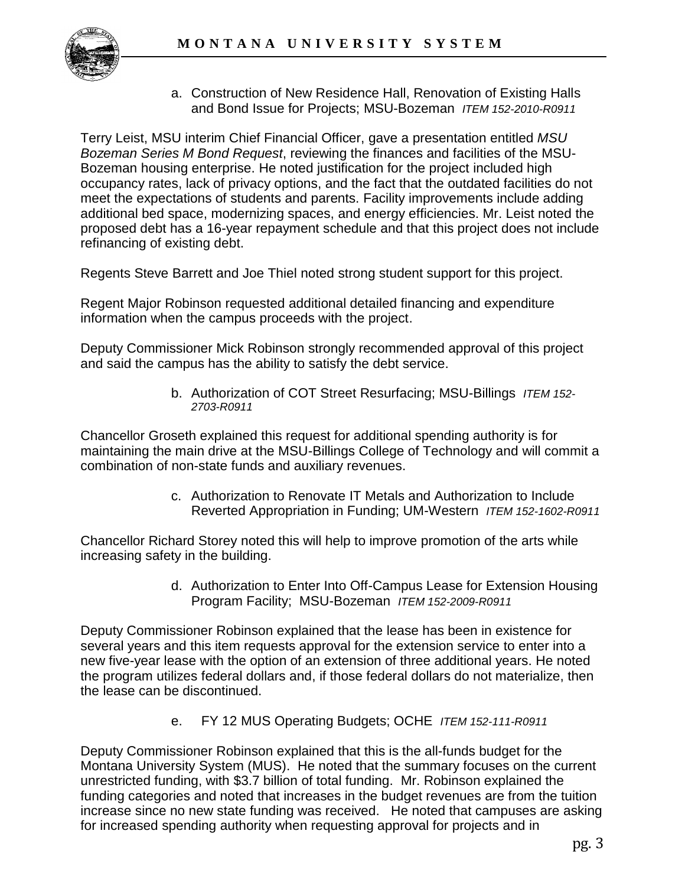

a. Construction of New Residence Hall, Renovation of Existing Halls and Bond Issue for Projects; MSU-Bozeman *ITEM 152-2010-R0911*

Terry Leist, MSU interim Chief Financial Officer, gave a presentation entitled *MSU Bozeman Series M Bond Request*, reviewing the finances and facilities of the MSU-Bozeman housing enterprise. He noted justification for the project included high occupancy rates, lack of privacy options, and the fact that the outdated facilities do not meet the expectations of students and parents. Facility improvements include adding additional bed space, modernizing spaces, and energy efficiencies. Mr. Leist noted the proposed debt has a 16-year repayment schedule and that this project does not include refinancing of existing debt.

Regents Steve Barrett and Joe Thiel noted strong student support for this project.

Regent Major Robinson requested additional detailed financing and expenditure information when the campus proceeds with the project.

Deputy Commissioner Mick Robinson strongly recommended approval of this project and said the campus has the ability to satisfy the debt service.

> b. Authorization of COT Street Resurfacing; MSU-Billings *ITEM 152- 2703-R0911*

Chancellor Groseth explained this request for additional spending authority is for maintaining the main drive at the MSU-Billings College of Technology and will commit a combination of non-state funds and auxiliary revenues.

> c. Authorization to Renovate IT Metals and Authorization to Include Reverted Appropriation in Funding; UM-Western *ITEM 152-1602-R0911*

Chancellor Richard Storey noted this will help to improve promotion of the arts while increasing safety in the building.

> d. Authorization to Enter Into Off-Campus Lease for Extension Housing Program Facility; MSU-Bozeman *ITEM 152-2009-R0911*

Deputy Commissioner Robinson explained that the lease has been in existence for several years and this item requests approval for the extension service to enter into a new five-year lease with the option of an extension of three additional years. He noted the program utilizes federal dollars and, if those federal dollars do not materialize, then the lease can be discontinued.

e. FY 12 MUS Operating Budgets; OCHE *ITEM 152-111-R0911*

Deputy Commissioner Robinson explained that this is the all-funds budget for the Montana University System (MUS). He noted that the summary focuses on the current unrestricted funding, with \$3.7 billion of total funding. Mr. Robinson explained the funding categories and noted that increases in the budget revenues are from the tuition increase since no new state funding was received. He noted that campuses are asking for increased spending authority when requesting approval for projects and in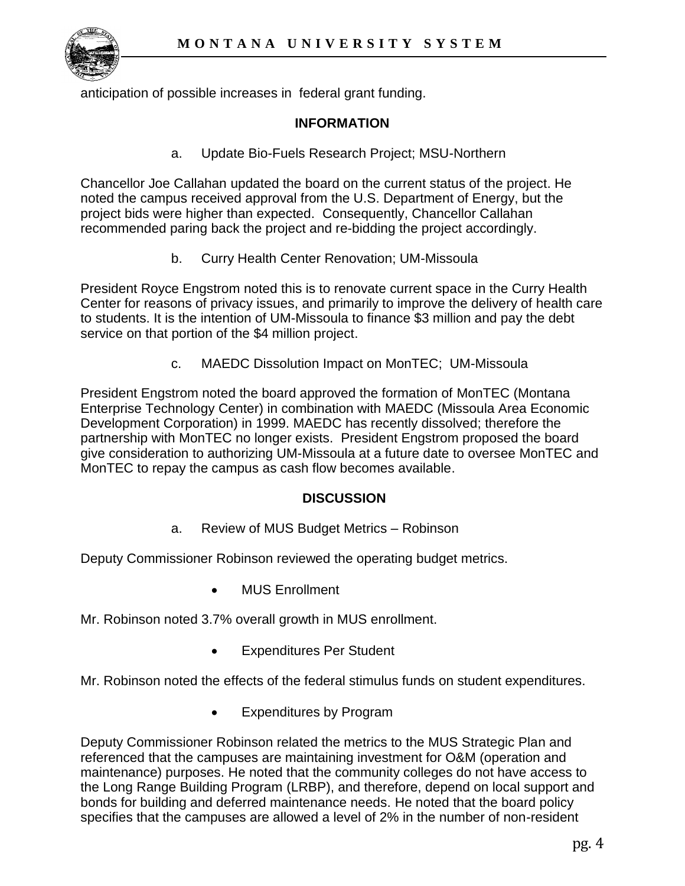

anticipation of possible increases in federal grant funding.

### **INFORMATION**

a. Update Bio-Fuels Research Project; MSU-Northern

Chancellor Joe Callahan updated the board on the current status of the project. He noted the campus received approval from the U.S. Department of Energy, but the project bids were higher than expected. Consequently, Chancellor Callahan recommended paring back the project and re-bidding the project accordingly.

b. Curry Health Center Renovation; UM-Missoula

President Royce Engstrom noted this is to renovate current space in the Curry Health Center for reasons of privacy issues, and primarily to improve the delivery of health care to students. It is the intention of UM-Missoula to finance \$3 million and pay the debt service on that portion of the \$4 million project.

c. MAEDC Dissolution Impact on MonTEC; UM-Missoula

President Engstrom noted the board approved the formation of MonTEC (Montana Enterprise Technology Center) in combination with MAEDC (Missoula Area Economic Development Corporation) in 1999. MAEDC has recently dissolved; therefore the partnership with MonTEC no longer exists. President Engstrom proposed the board give consideration to authorizing UM-Missoula at a future date to oversee MonTEC and MonTEC to repay the campus as cash flow becomes available.

### **DISCUSSION**

a. Review of MUS Budget Metrics – Robinson

Deputy Commissioner Robinson reviewed the operating budget metrics.

MUS Enrollment

Mr. Robinson noted 3.7% overall growth in MUS enrollment.

Expenditures Per Student

Mr. Robinson noted the effects of the federal stimulus funds on student expenditures.

Expenditures by Program

Deputy Commissioner Robinson related the metrics to the MUS Strategic Plan and referenced that the campuses are maintaining investment for O&M (operation and maintenance) purposes. He noted that the community colleges do not have access to the Long Range Building Program (LRBP), and therefore, depend on local support and bonds for building and deferred maintenance needs. He noted that the board policy specifies that the campuses are allowed a level of 2% in the number of non-resident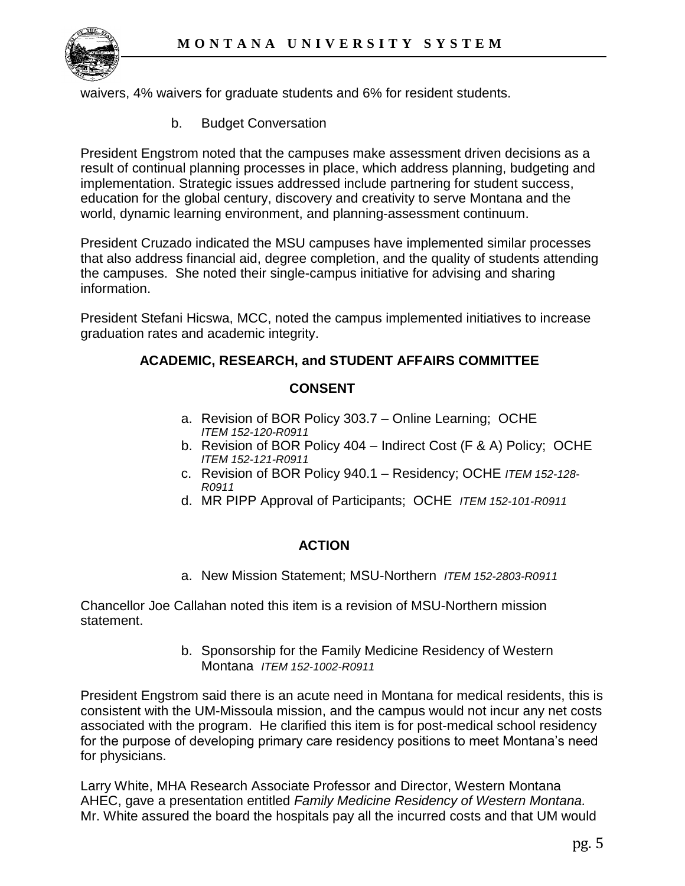

waivers, 4% waivers for graduate students and 6% for resident students.

b. Budget Conversation

President Engstrom noted that the campuses make assessment driven decisions as a result of continual planning processes in place, which address planning, budgeting and implementation. Strategic issues addressed include partnering for student success, education for the global century, discovery and creativity to serve Montana and the world, dynamic learning environment, and planning-assessment continuum.

President Cruzado indicated the MSU campuses have implemented similar processes that also address financial aid, degree completion, and the quality of students attending the campuses. She noted their single-campus initiative for advising and sharing information.

President Stefani Hicswa, MCC, noted the campus implemented initiatives to increase graduation rates and academic integrity.

## **ACADEMIC, RESEARCH, and STUDENT AFFAIRS COMMITTEE**

### **CONSENT**

- a. Revision of BOR Policy 303.7 Online Learning; OCHE *ITEM 152-120-R0911*
- b. Revision of BOR Policy 404 Indirect Cost (F & A) Policy; OCHE *ITEM 152-121-R0911*
- c. Revision of BOR Policy 940.1 Residency; OCHE *ITEM 152-128- R0911*
- d. MR PIPP Approval of Participants; OCHE *ITEM 152-101-R0911*

### **ACTION**

a. New Mission Statement; MSU-Northern *ITEM 152-2803-R0911* 

Chancellor Joe Callahan noted this item is a revision of MSU-Northern mission statement.

> b. Sponsorship for the Family Medicine Residency of Western Montana *ITEM 152-1002-R0911*

President Engstrom said there is an acute need in Montana for medical residents, this is consistent with the UM-Missoula mission, and the campus would not incur any net costs associated with the program. He clarified this item is for post-medical school residency for the purpose of developing primary care residency positions to meet Montana's need for physicians.

Larry White, MHA Research Associate Professor and Director, Western Montana AHEC, gave a presentation entitled *Family Medicine Residency of Western Montana.* Mr. White assured the board the hospitals pay all the incurred costs and that UM would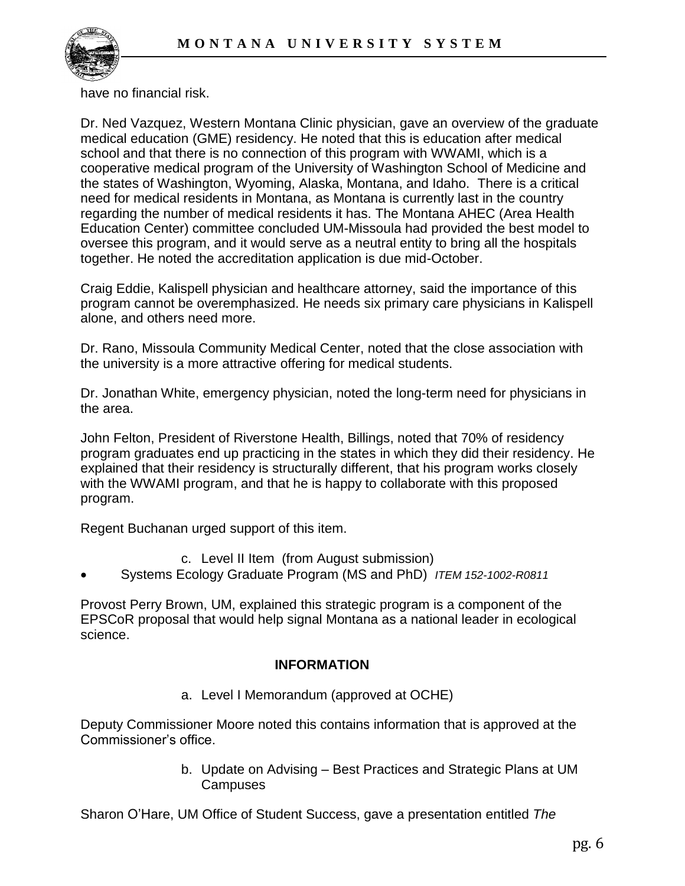

have no financial risk.

Dr. Ned Vazquez, Western Montana Clinic physician, gave an overview of the graduate medical education (GME) residency. He noted that this is education after medical school and that there is no connection of this program with WWAMI, which is a cooperative medical program of the University of Washington School of Medicine and the states of Washington, Wyoming, Alaska, Montana, and Idaho. There is a critical need for medical residents in Montana, as Montana is currently last in the country regarding the number of medical residents it has. The Montana AHEC (Area Health Education Center) committee concluded UM-Missoula had provided the best model to oversee this program, and it would serve as a neutral entity to bring all the hospitals together. He noted the accreditation application is due mid-October.

Craig Eddie, Kalispell physician and healthcare attorney, said the importance of this program cannot be overemphasized. He needs six primary care physicians in Kalispell alone, and others need more.

Dr. Rano, Missoula Community Medical Center, noted that the close association with the university is a more attractive offering for medical students.

Dr. Jonathan White, emergency physician, noted the long-term need for physicians in the area.

John Felton, President of Riverstone Health, Billings, noted that 70% of residency program graduates end up practicing in the states in which they did their residency. He explained that their residency is structurally different, that his program works closely with the WWAMI program, and that he is happy to collaborate with this proposed program.

Regent Buchanan urged support of this item.

- c. Level II Item (from August submission)
- Systems Ecology Graduate Program (MS and PhD) *ITEM 152-1002-R0811*

Provost Perry Brown, UM, explained this strategic program is a component of the EPSCoR proposal that would help signal Montana as a national leader in ecological science.

### **INFORMATION**

a. Level I Memorandum (approved at OCHE)

Deputy Commissioner Moore noted this contains information that is approved at the Commissioner's office.

> b. Update on Advising – Best Practices and Strategic Plans at UM Campuses

Sharon O'Hare, UM Office of Student Success, gave a presentation entitled *The*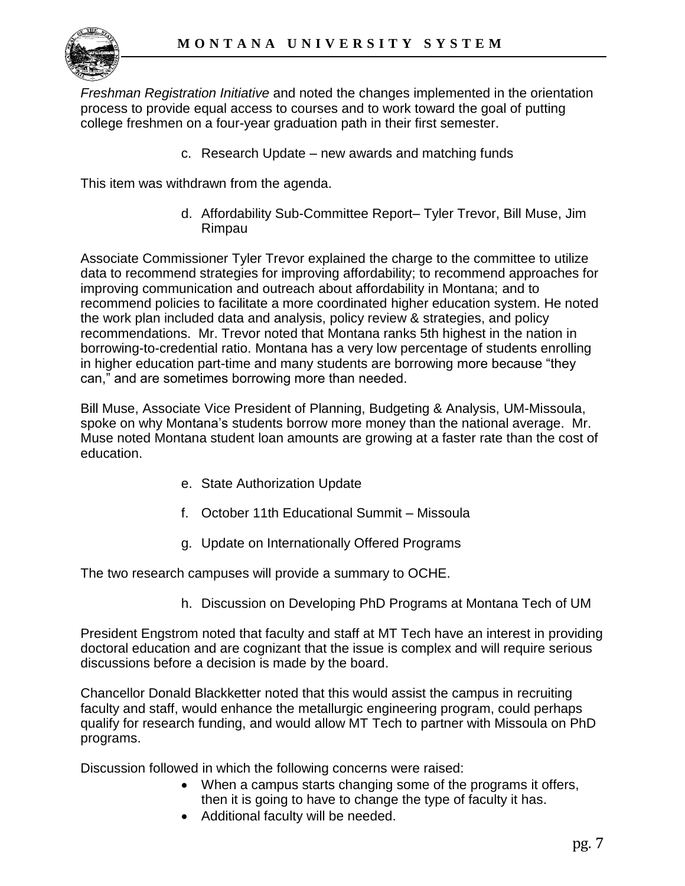

*Freshman Registration Initiative* and noted the changes implemented in the orientation process to provide equal access to courses and to work toward the goal of putting college freshmen on a four-year graduation path in their first semester.

c. Research Update – new awards and matching funds

This item was withdrawn from the agenda.

d. Affordability Sub-Committee Report– Tyler Trevor, Bill Muse, Jim Rimpau

Associate Commissioner Tyler Trevor explained the charge to the committee to utilize data to recommend strategies for improving affordability; to recommend approaches for improving communication and outreach about affordability in Montana; and to recommend policies to facilitate a more coordinated higher education system. He noted the work plan included data and analysis, policy review & strategies, and policy recommendations. Mr. Trevor noted that Montana ranks 5th highest in the nation in borrowing-to-credential ratio. Montana has a very low percentage of students enrolling in higher education part-time and many students are borrowing more because "they can," and are sometimes borrowing more than needed.

Bill Muse, Associate Vice President of Planning, Budgeting & Analysis, UM-Missoula, spoke on why Montana's students borrow more money than the national average. Mr. Muse noted Montana student loan amounts are growing at a faster rate than the cost of education.

- e. State Authorization Update
- f. October 11th Educational Summit Missoula
- g. Update on Internationally Offered Programs

The two research campuses will provide a summary to OCHE.

h. Discussion on Developing PhD Programs at Montana Tech of UM

President Engstrom noted that faculty and staff at MT Tech have an interest in providing doctoral education and are cognizant that the issue is complex and will require serious discussions before a decision is made by the board.

Chancellor Donald Blackketter noted that this would assist the campus in recruiting faculty and staff, would enhance the metallurgic engineering program, could perhaps qualify for research funding, and would allow MT Tech to partner with Missoula on PhD programs.

Discussion followed in which the following concerns were raised:

- When a campus starts changing some of the programs it offers, then it is going to have to change the type of faculty it has.
- Additional faculty will be needed.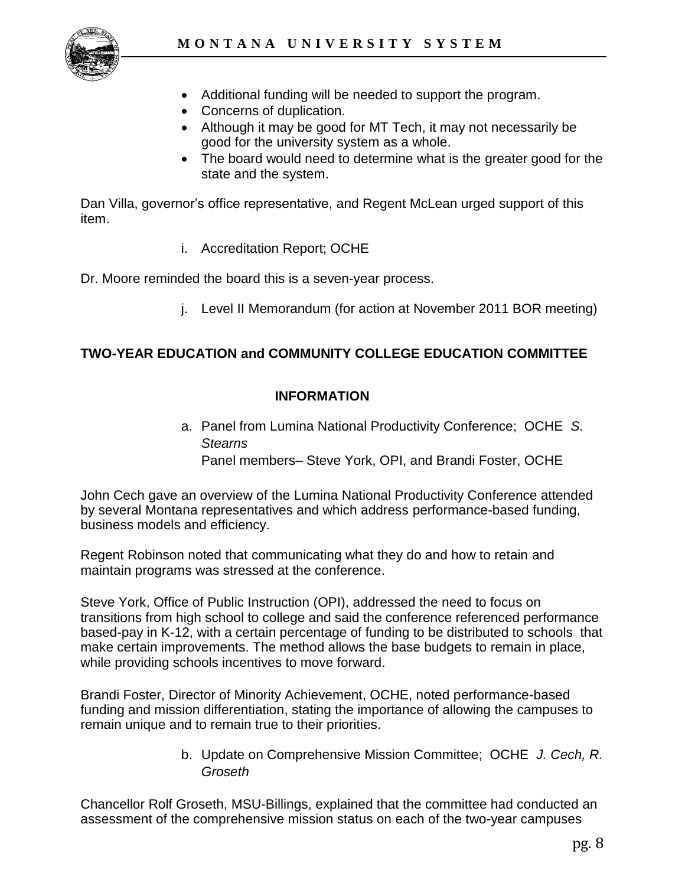

- Additional funding will be needed to support the program.
- Concerns of duplication.
- Although it may be good for MT Tech, it may not necessarily be good for the university system as a whole.
- The board would need to determine what is the greater good for the state and the system.

Dan Villa, governor's office representative, and Regent McLean urged support of this item.

i. Accreditation Report; OCHE

Dr. Moore reminded the board this is a seven-year process.

j. Level II Memorandum (for action at November 2011 BOR meeting)

# **TWO-YEAR EDUCATION and COMMUNITY COLLEGE EDUCATION COMMITTEE**

## **INFORMATION**

a. Panel from Lumina National Productivity Conference; OCHE *S. Stearns* Panel members– Steve York, OPI, and Brandi Foster, OCHE

John Cech gave an overview of the Lumina National Productivity Conference attended by several Montana representatives and which address performance-based funding, business models and efficiency.

Regent Robinson noted that communicating what they do and how to retain and maintain programs was stressed at the conference.

Steve York, Office of Public Instruction (OPI), addressed the need to focus on transitions from high school to college and said the conference referenced performance based-pay in K-12, with a certain percentage of funding to be distributed to schools that make certain improvements. The method allows the base budgets to remain in place, while providing schools incentives to move forward.

Brandi Foster, Director of Minority Achievement, OCHE, noted performance-based funding and mission differentiation, stating the importance of allowing the campuses to remain unique and to remain true to their priorities.

> b. Update on Comprehensive Mission Committee; OCHE *J. Cech, R. Groseth*

Chancellor Rolf Groseth, MSU-Billings, explained that the committee had conducted an assessment of the comprehensive mission status on each of the two-year campuses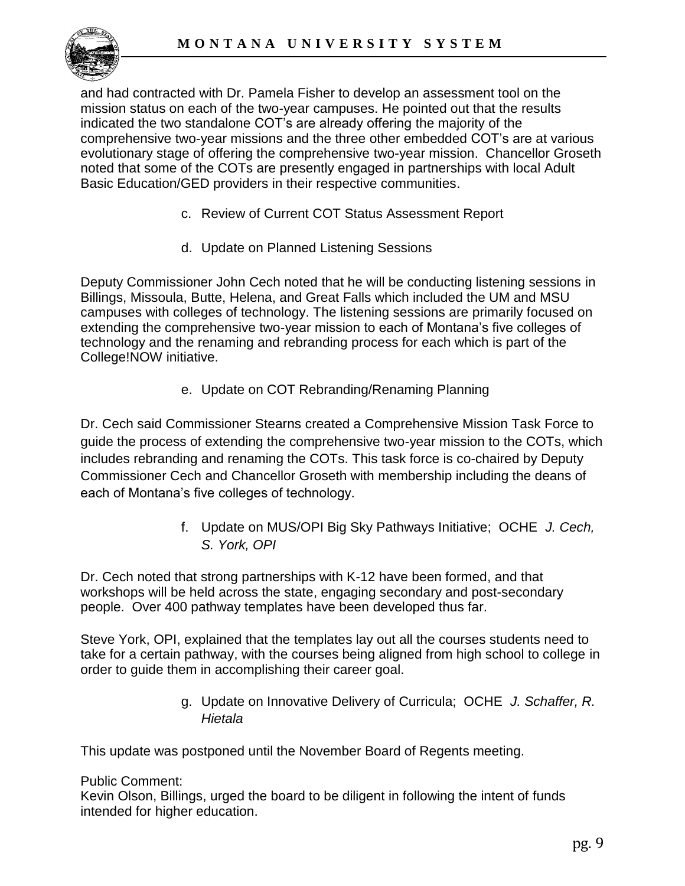

and had contracted with Dr. Pamela Fisher to develop an assessment tool on the mission status on each of the two-year campuses. He pointed out that the results indicated the two standalone COT's are already offering the majority of the comprehensive two-year missions and the three other embedded COT's are at various evolutionary stage of offering the comprehensive two-year mission. Chancellor Groseth noted that some of the COTs are presently engaged in partnerships with local Adult Basic Education/GED providers in their respective communities.

- c. Review of Current COT Status Assessment Report
- d. Update on Planned Listening Sessions

Deputy Commissioner John Cech noted that he will be conducting listening sessions in Billings, Missoula, Butte, Helena, and Great Falls which included the UM and MSU campuses with colleges of technology. The listening sessions are primarily focused on extending the comprehensive two-year mission to each of Montana's five colleges of technology and the renaming and rebranding process for each which is part of the College!NOW initiative.

e. Update on COT Rebranding/Renaming Planning

Dr. Cech said Commissioner Stearns created a Comprehensive Mission Task Force to guide the process of extending the comprehensive two-year mission to the COTs, which includes rebranding and renaming the COTs. This task force is co-chaired by Deputy Commissioner Cech and Chancellor Groseth with membership including the deans of each of Montana's five colleges of technology.

> f. Update on MUS/OPI Big Sky Pathways Initiative; OCHE *J. Cech, S. York, OPI*

Dr. Cech noted that strong partnerships with K-12 have been formed, and that workshops will be held across the state, engaging secondary and post-secondary people. Over 400 pathway templates have been developed thus far.

Steve York, OPI, explained that the templates lay out all the courses students need to take for a certain pathway, with the courses being aligned from high school to college in order to guide them in accomplishing their career goal.

> g. Update on Innovative Delivery of Curricula; OCHE *J. Schaffer, R. Hietala*

This update was postponed until the November Board of Regents meeting.

### Public Comment:

Kevin Olson, Billings, urged the board to be diligent in following the intent of funds intended for higher education.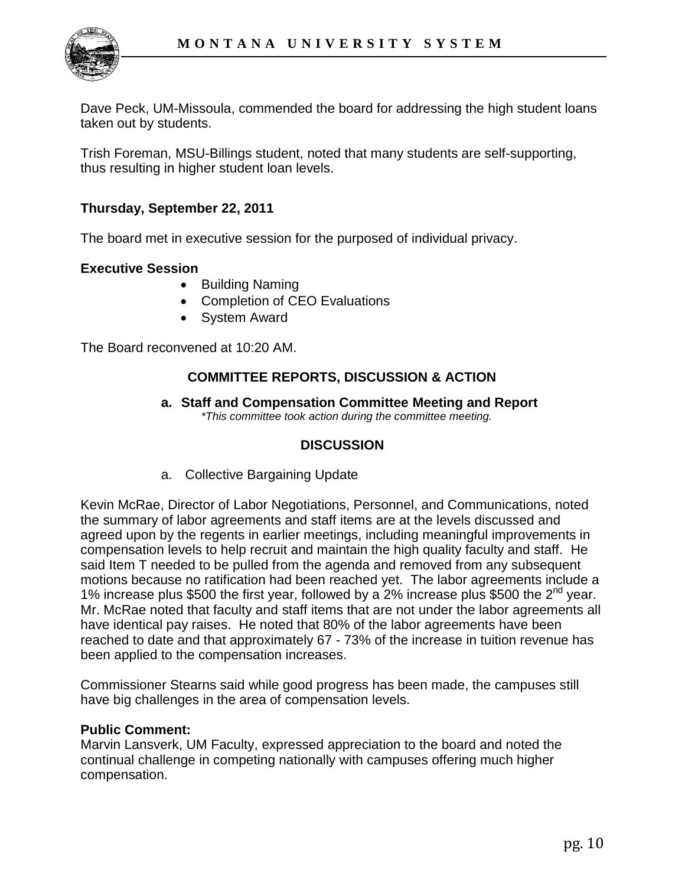

Dave Peck, UM-Missoula, commended the board for addressing the high student loans taken out by students.

Trish Foreman, MSU-Billings student, noted that many students are self-supporting, thus resulting in higher student loan levels.

### **Thursday, September 22, 2011**

The board met in executive session for the purposed of individual privacy.

### **Executive Session**

- Building Naming
- Completion of CEO Evaluations
- System Award

The Board reconvened at 10:20 AM.

### **COMMITTEE REPORTS, DISCUSSION & ACTION**

**a. Staff and Compensation Committee Meeting and Report** *\*This committee took action during the committee meeting.* 

### **DISCUSSION**

a. Collective Bargaining Update

Kevin McRae, Director of Labor Negotiations, Personnel, and Communications, noted the summary of labor agreements and staff items are at the levels discussed and agreed upon by the regents in earlier meetings, including meaningful improvements in compensation levels to help recruit and maintain the high quality faculty and staff. He said Item T needed to be pulled from the agenda and removed from any subsequent motions because no ratification had been reached yet. The labor agreements include a 1% increase plus \$500 the first year, followed by a 2% increase plus \$500 the  $2^{nd}$  year. Mr. McRae noted that faculty and staff items that are not under the labor agreements all have identical pay raises. He noted that 80% of the labor agreements have been reached to date and that approximately 67 - 73% of the increase in tuition revenue has been applied to the compensation increases.

Commissioner Stearns said while good progress has been made, the campuses still have big challenges in the area of compensation levels.

### **Public Comment:**

Marvin Lansverk, UM Faculty, expressed appreciation to the board and noted the continual challenge in competing nationally with campuses offering much higher compensation.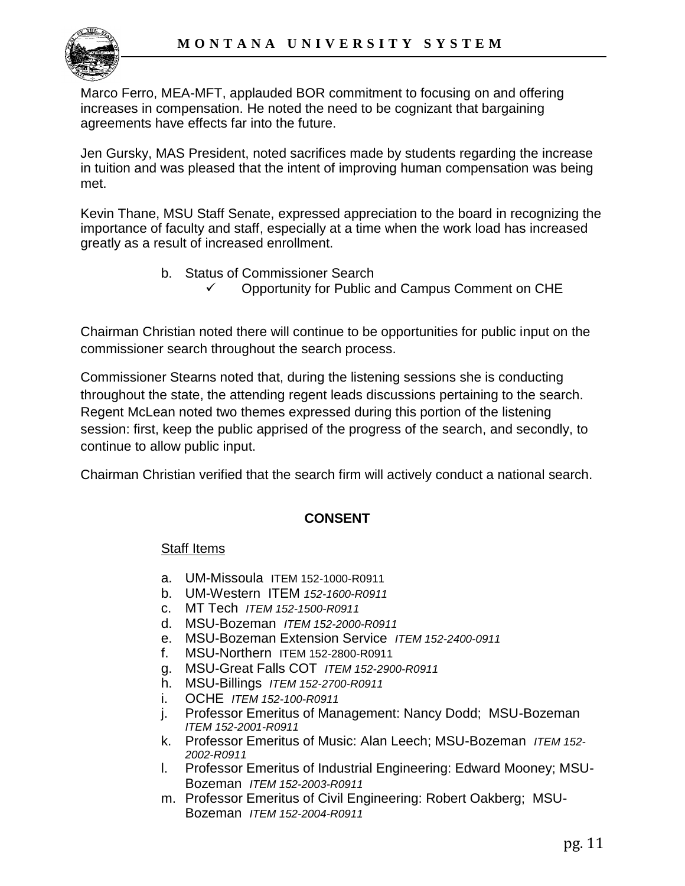Marco Ferro, MEA-MFT, applauded BOR commitment to focusing on and offering increases in compensation. He noted the need to be cognizant that bargaining agreements have effects far into the future.

Jen Gursky, MAS President, noted sacrifices made by students regarding the increase in tuition and was pleased that the intent of improving human compensation was being met.

Kevin Thane, MSU Staff Senate, expressed appreciation to the board in recognizing the importance of faculty and staff, especially at a time when the work load has increased greatly as a result of increased enrollment.

> b. Status of Commissioner Search Opportunity for Public and Campus Comment on CHE

Chairman Christian noted there will continue to be opportunities for public input on the commissioner search throughout the search process.

Commissioner Stearns noted that, during the listening sessions she is conducting throughout the state, the attending regent leads discussions pertaining to the search. Regent McLean noted two themes expressed during this portion of the listening session: first, keep the public apprised of the progress of the search, and secondly, to continue to allow public input.

Chairman Christian verified that the search firm will actively conduct a national search.

## **CONSENT**

## Staff Items

- a. UM-Missoula ITEM 152-1000-R0911
- b. UM-Western ITEM *152-1600-R0911*
- c. MT Tech *ITEM 152-1500-R0911*
- d. MSU-Bozeman *ITEM 152-2000-R0911*
- e. MSU-Bozeman Extension Service *ITEM 152-2400-0911*
- f. MSU-Northern ITEM 152-2800-R0911
- g. MSU-Great Falls COT *ITEM 152-2900-R0911*
- h. MSU-Billings *ITEM 152-2700-R0911*
- i. OCHE *ITEM 152-100-R0911*
- j. Professor Emeritus of Management: Nancy Dodd; MSU-Bozeman *ITEM 152-2001-R0911*
- k. Professor Emeritus of Music: Alan Leech; MSU-Bozeman *ITEM 152- 2002-R0911*
- l. Professor Emeritus of Industrial Engineering: Edward Mooney; MSU-Bozeman *ITEM 152-2003-R0911*
- m. Professor Emeritus of Civil Engineering: Robert Oakberg; MSU-Bozeman *ITEM 152-2004-R0911*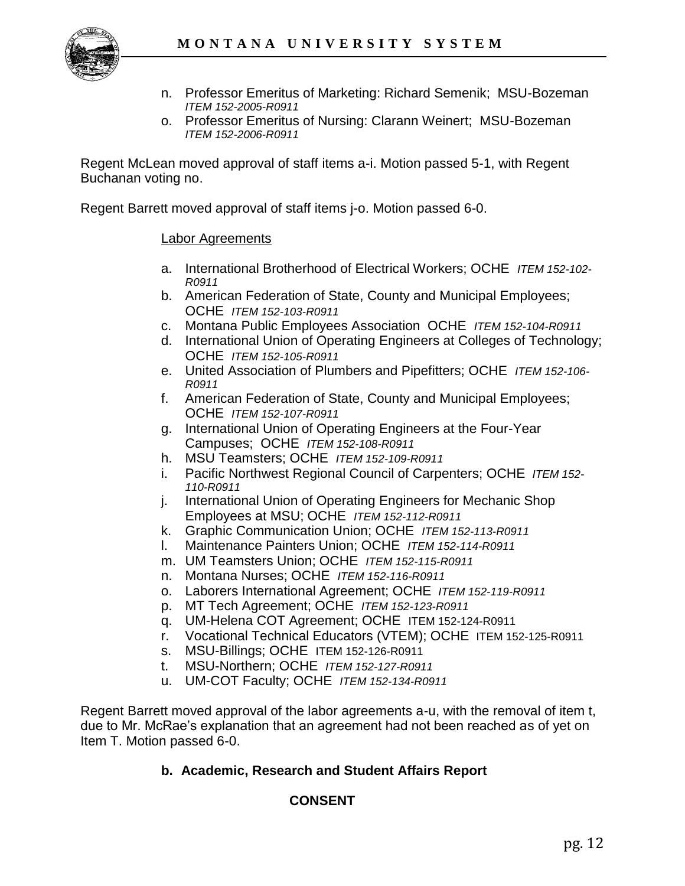

- n. Professor Emeritus of Marketing: Richard Semenik; MSU-Bozeman *ITEM 152-2005-R0911*
- o. Professor Emeritus of Nursing: Clarann Weinert; MSU-Bozeman *ITEM 152-2006-R0911*

Regent McLean moved approval of staff items a-i. Motion passed 5-1, with Regent Buchanan voting no.

Regent Barrett moved approval of staff items j-o. Motion passed 6-0.

### Labor Agreements

- a. International Brotherhood of Electrical Workers; OCHE *ITEM 152-102- R0911*
- b. American Federation of State, County and Municipal Employees; OCHE *ITEM 152-103-R0911*
- c. Montana Public Employees Association OCHE *ITEM 152-104-R0911*
- d. International Union of Operating Engineers at Colleges of Technology; OCHE *ITEM 152-105-R0911*
- e. United Association of Plumbers and Pipefitters; OCHE *ITEM 152-106- R0911*
- f. American Federation of State, County and Municipal Employees; OCHE *ITEM 152-107-R0911*
- g. International Union of Operating Engineers at the Four-Year Campuses; OCHE *ITEM 152-108-R0911*
- h. MSU Teamsters; OCHE *ITEM 152-109-R0911*
- i. Pacific Northwest Regional Council of Carpenters; OCHE *ITEM 152- 110-R0911*
- j. International Union of Operating Engineers for Mechanic Shop Employees at MSU; OCHE *ITEM 152-112-R0911*
- k. Graphic Communication Union; OCHE *ITEM 152-113-R0911*
- l. Maintenance Painters Union; OCHE *ITEM 152-114-R0911*
- m. UM Teamsters Union; OCHE *ITEM 152-115-R0911*
- n. Montana Nurses; OCHE *ITEM 152-116-R0911*
- o. Laborers International Agreement; OCHE *ITEM 152-119-R0911*
- p. MT Tech Agreement; OCHE *ITEM 152-123-R0911*
- q. UM-Helena COT Agreement; OCHE ITEM 152-124-R0911
- r. Vocational Technical Educators (VTEM); OCHE ITEM 152-125-R0911
- s. MSU-Billings; OCHE ITEM 152-126-R0911
- t. MSU-Northern; OCHE *ITEM 152-127-R0911*
- u. UM-COT Faculty; OCHE *ITEM 152-134-R0911*

Regent Barrett moved approval of the labor agreements a-u, with the removal of item t, due to Mr. McRae's explanation that an agreement had not been reached as of yet on Item T. Motion passed 6-0.

### **b. Academic, Research and Student Affairs Report**

## **CONSENT**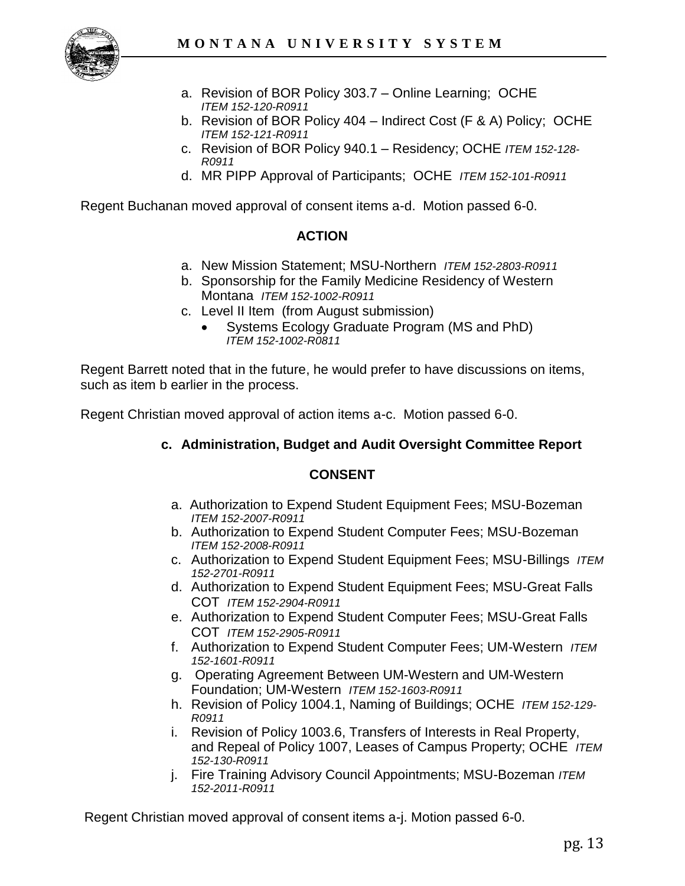

- a. Revision of BOR Policy 303.7 Online Learning; OCHE *ITEM 152-120-R0911*
- b. Revision of BOR Policy 404 Indirect Cost (F & A) Policy; OCHE *ITEM 152-121-R0911*
- c. Revision of BOR Policy 940.1 Residency; OCHE *ITEM 152-128- R0911*
- d. MR PIPP Approval of Participants; OCHE *ITEM 152-101-R0911*

Regent Buchanan moved approval of consent items a-d. Motion passed 6-0.

### **ACTION**

- a. New Mission Statement; MSU-Northern *ITEM 152-2803-R0911*
- b. Sponsorship for the Family Medicine Residency of Western Montana *ITEM 152-1002-R0911*
- c. Level II Item (from August submission)
	- Systems Ecology Graduate Program (MS and PhD) *ITEM 152-1002-R0811*

Regent Barrett noted that in the future, he would prefer to have discussions on items, such as item b earlier in the process.

Regent Christian moved approval of action items a-c. Motion passed 6-0.

### **c. Administration, Budget and Audit Oversight Committee Report**

### **CONSENT**

- a. Authorization to Expend Student Equipment Fees; MSU-Bozeman *ITEM 152-2007-R0911*
- b. Authorization to Expend Student Computer Fees; MSU-Bozeman *ITEM 152-2008-R0911*
- c. Authorization to Expend Student Equipment Fees; MSU-Billings *ITEM 152-2701-R0911*
- d. Authorization to Expend Student Equipment Fees; MSU-Great Falls COT *ITEM 152-2904-R0911*
- e. Authorization to Expend Student Computer Fees; MSU-Great Falls COT *ITEM 152-2905-R0911*
- f. Authorization to Expend Student Computer Fees; UM-Western *ITEM 152-1601-R0911*
- g. Operating Agreement Between UM-Western and UM-Western Foundation; UM-Western *ITEM 152-1603-R0911*
- h. Revision of Policy 1004.1, Naming of Buildings; OCHE *ITEM 152-129- R0911*
- i. Revision of Policy 1003.6, Transfers of Interests in Real Property, and Repeal of Policy 1007, Leases of Campus Property; OCHE *ITEM 152-130-R0911*
- j. Fire Training Advisory Council Appointments; MSU-Bozeman *ITEM 152-2011-R0911*

Regent Christian moved approval of consent items a-j. Motion passed 6-0.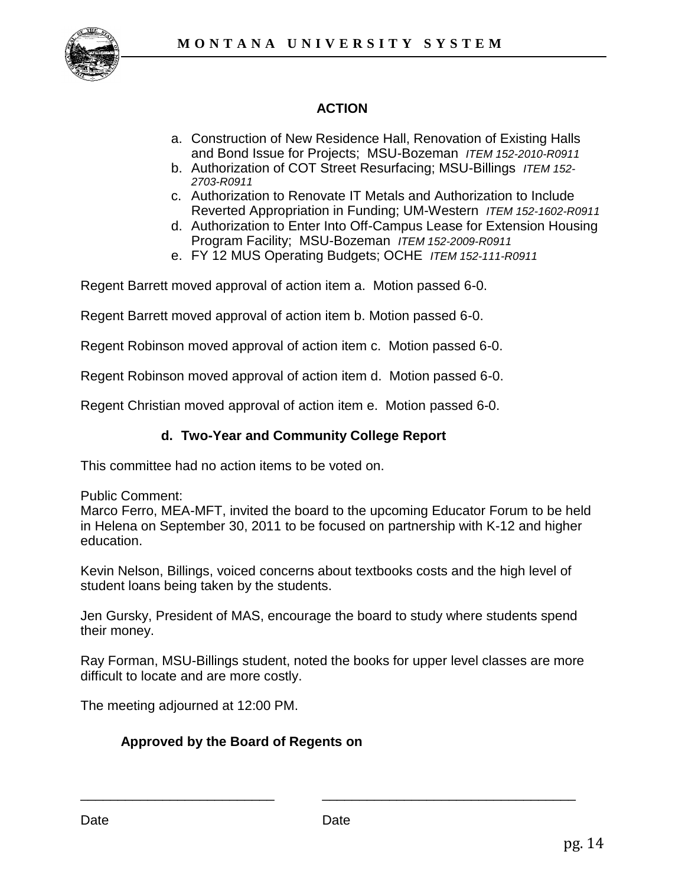

# **ACTION**

- a. Construction of New Residence Hall, Renovation of Existing Halls and Bond Issue for Projects; MSU-Bozeman *ITEM 152-2010-R0911*
- b. Authorization of COT Street Resurfacing; MSU-Billings *ITEM 152- 2703-R0911*
- c. Authorization to Renovate IT Metals and Authorization to Include Reverted Appropriation in Funding; UM-Western *ITEM 152-1602-R0911*
- d. Authorization to Enter Into Off-Campus Lease for Extension Housing Program Facility; MSU-Bozeman *ITEM 152-2009-R0911*
- e. FY 12 MUS Operating Budgets; OCHE *ITEM 152-111-R0911*

Regent Barrett moved approval of action item a. Motion passed 6-0.

Regent Barrett moved approval of action item b. Motion passed 6-0.

Regent Robinson moved approval of action item c. Motion passed 6-0.

Regent Robinson moved approval of action item d. Motion passed 6-0.

Regent Christian moved approval of action item e. Motion passed 6-0.

### **d. Two-Year and Community College Report**

This committee had no action items to be voted on.

Public Comment:

Marco Ferro, MEA-MFT, invited the board to the upcoming Educator Forum to be held in Helena on September 30, 2011 to be focused on partnership with K-12 and higher education.

Kevin Nelson, Billings, voiced concerns about textbooks costs and the high level of student loans being taken by the students.

Jen Gursky, President of MAS, encourage the board to study where students spend their money.

Ray Forman, MSU-Billings student, noted the books for upper level classes are more difficult to locate and are more costly.

The meeting adjourned at 12:00 PM.

### **Approved by the Board of Regents on**

\_\_\_\_\_\_\_\_\_\_\_\_\_\_\_\_\_\_\_\_\_\_\_\_\_\_ \_\_\_\_\_\_\_\_\_\_\_\_\_\_\_\_\_\_\_\_\_\_\_\_\_\_\_\_\_\_\_\_\_\_